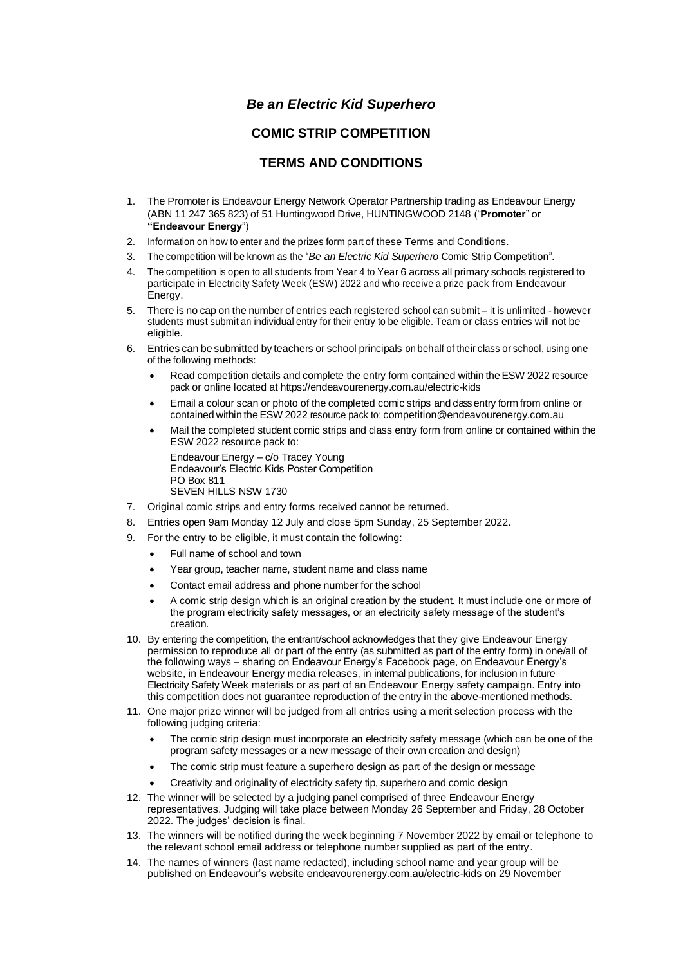## *Be an Electric Kid Superhero*

## **COMIC STRIP COMPETITION**

## **TERMS AND CONDITIONS**

- 1. The Promoter is Endeavour Energy Network Operator Partnership trading as Endeavour Energy (ABN 11 247 365 823) of 51 Huntingwood Drive, HUNTINGWOOD 2148 ("**Promoter**" or **"Endeavour Energy**")
- 2. Information on how to enter and the prizes form part of these Terms and Conditions.
- 3. The competition will be known as the "*Be an Electric Kid Superhero* Comic Strip Competition".
- 4. The competition is open to all students from Year 4 to Year 6 across all primary schools registered to participate in Electricity Safety Week (ESW) 2022 and who receive a prize pack from Endeavour Energy.
- 5. There is no cap on the number of entries each registered school can submit it is unlimited however students must submit an individual entry for their entry to be eligible. Team or class entries will not be eligible.
- 6. Entries can be submitted by teachers or school principals on behalf of their class or school, using one of the following methods:
	- Read competition details and complete the entry form contained within the ESW 2022 resource pack or online located at https://endeavourenergy.com.au/electric-kids
	- Email a colour scan or photo of the completed comic strips and class entry form from online or contained within the ESW 2022 resource pack to: competition@endeavourenergy.com.au
	- Mail the completed student comic strips and class entry form from online or contained within the ESW 2022 resource pack to:

Endeavour Energy – c/o Tracey Young Endeavour's Electric Kids Poster Competition PO Box 811 SEVEN HILLS NSW 1730

- 7. Original comic strips and entry forms received cannot be returned.
- 8. Entries open 9am Monday 12 July and close 5pm Sunday, 25 September 2022.
- 9. For the entry to be eligible, it must contain the following:
	- Full name of school and town
	- Year group, teacher name, student name and class name
	- Contact email address and phone number for the school
	- A comic strip design which is an original creation by the student. It must include one or more of the program electricity safety messages, or an electricity safety message of the student's creation.
- 10. By entering the competition, the entrant/school acknowledges that they give Endeavour Energy permission to reproduce all or part of the entry (as submitted as part of the entry form) in one/all of the following ways – sharing on Endeavour Energy's Facebook page, on Endeavour Energy's website, in Endeavour Energy media releases, in internal publications, for inclusion in future Electricity Safety Week materials or as part of an Endeavour Energy safety campaign. Entry into this competition does not guarantee reproduction of the entry in the above-mentioned methods.
- 11. One major prize winner will be judged from all entries using a merit selection process with the following judging criteria:
	- The comic strip design must incorporate an electricity safety message (which can be one of the program safety messages or a new message of their own creation and design)
	- The comic strip must feature a superhero design as part of the design or message
	- Creativity and originality of electricity safety tip, superhero and comic design
- 12. The winner will be selected by a judging panel comprised of three Endeavour Energy representatives. Judging will take place between Monday 26 September and Friday, 28 October 2022. The judges' decision is final.
- 13. The winners will be notified during the week beginning 7 November 2022 by email or telephone to the relevant school email address or telephone number supplied as part of the entry.
- 14. The names of winners (last name redacted), including school name and year group will be published on Endeavour's website endeavourenergy.com.au/electric-kids on 29 November